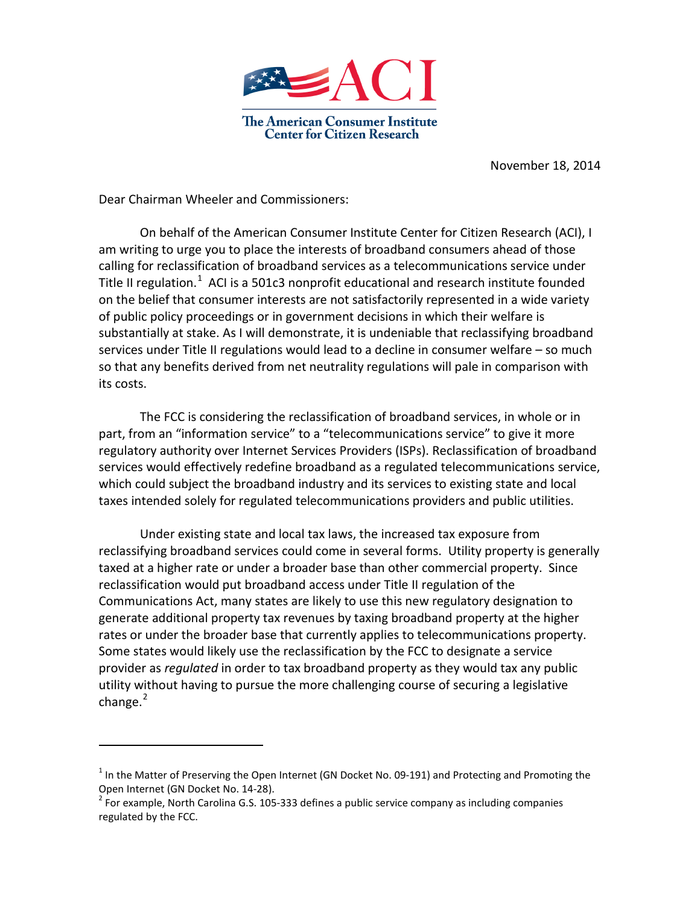

November 18, 2014

Dear Chairman Wheeler and Commissioners:

 $\overline{a}$ 

On behalf of the American Consumer Institute Center for Citizen Research (ACI), I am writing to urge you to place the interests of broadband consumers ahead of those calling for reclassification of broadband services as a telecommunications service under Title II regulation.<sup>[1](#page-0-0)</sup> ACI is a 501c3 nonprofit educational and research institute founded on the belief that consumer interests are not satisfactorily represented in a wide variety of public policy proceedings or in government decisions in which their welfare is substantially at stake. As I will demonstrate, it is undeniable that reclassifying broadband services under Title II regulations would lead to a decline in consumer welfare – so much so that any benefits derived from net neutrality regulations will pale in comparison with its costs.

The FCC is considering the reclassification of broadband services, in whole or in part, from an "information service" to a "telecommunications service" to give it more regulatory authority over Internet Services Providers (ISPs). Reclassification of broadband services would effectively redefine broadband as a regulated telecommunications service, which could subject the broadband industry and its services to existing state and local taxes intended solely for regulated telecommunications providers and public utilities.

Under existing state and local tax laws, the increased tax exposure from reclassifying broadband services could come in several forms. Utility property is generally taxed at a higher rate or under a broader base than other commercial property. Since reclassification would put broadband access under Title II regulation of the Communications Act, many states are likely to use this new regulatory designation to generate additional property tax revenues by taxing broadband property at the higher rates or under the broader base that currently applies to telecommunications property. Some states would likely use the reclassification by the FCC to designate a service provider as *regulated* in order to tax broadband property as they would tax any public utility without having to pursue the more challenging course of securing a legislative change.<sup>[2](#page-0-1)</sup>

<span id="page-0-0"></span><sup>&</sup>lt;sup>1</sup> In the Matter of Preserving the Open Internet (GN Docket No. 09-191) and Protecting and Promoting the Open Internet (GN Docket No. 14-28).<br><sup>2</sup> For example, North Carolina G.S. 105-333 defines a public service company as including companies

<span id="page-0-1"></span>regulated by the FCC.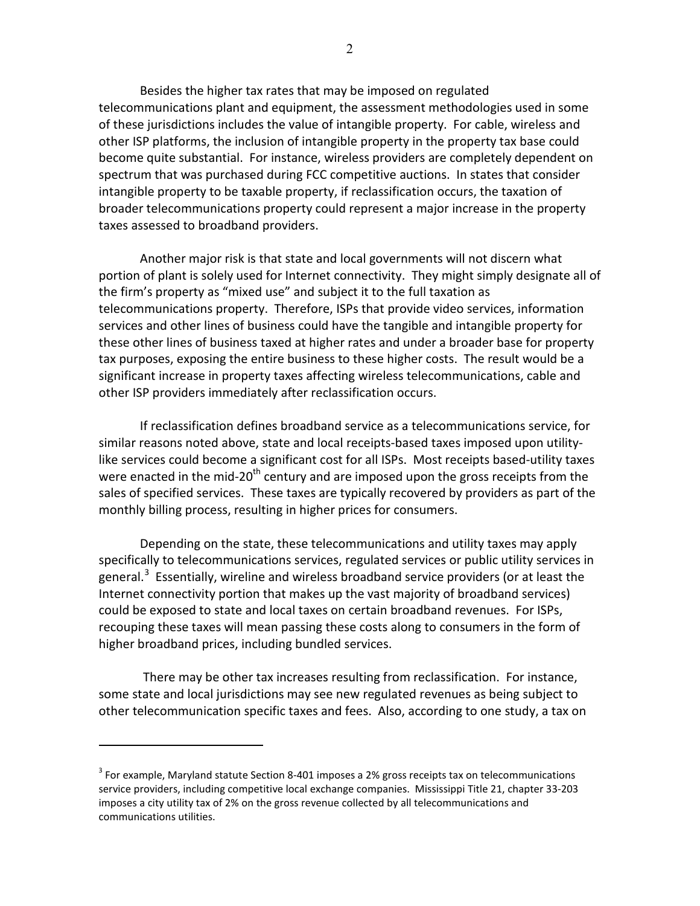Besides the higher tax rates that may be imposed on regulated telecommunications plant and equipment, the assessment methodologies used in some of these jurisdictions includes the value of intangible property. For cable, wireless and other ISP platforms, the inclusion of intangible property in the property tax base could become quite substantial. For instance, wireless providers are completely dependent on spectrum that was purchased during FCC competitive auctions. In states that consider intangible property to be taxable property, if reclassification occurs, the taxation of broader telecommunications property could represent a major increase in the property taxes assessed to broadband providers.

Another major risk is that state and local governments will not discern what portion of plant is solely used for Internet connectivity. They might simply designate all of the firm's property as "mixed use" and subject it to the full taxation as telecommunications property. Therefore, ISPs that provide video services, information services and other lines of business could have the tangible and intangible property for these other lines of business taxed at higher rates and under a broader base for property tax purposes, exposing the entire business to these higher costs. The result would be a significant increase in property taxes affecting wireless telecommunications, cable and other ISP providers immediately after reclassification occurs.

If reclassification defines broadband service as a telecommunications service, for similar reasons noted above, state and local receipts-based taxes imposed upon utilitylike services could become a significant cost for all ISPs. Most receipts based-utility taxes were enacted in the mid-20<sup>th</sup> century and are imposed upon the gross receipts from the sales of specified services. These taxes are typically recovered by providers as part of the monthly billing process, resulting in higher prices for consumers.

Depending on the state, these telecommunications and utility taxes may apply specifically to telecommunications services, regulated services or public utility services in general.<sup>[3](#page-1-0)</sup> Essentially, wireline and wireless broadband service providers (or at least the Internet connectivity portion that makes up the vast majority of broadband services) could be exposed to state and local taxes on certain broadband revenues. For ISPs, recouping these taxes will mean passing these costs along to consumers in the form of higher broadband prices, including bundled services.

There may be other tax increases resulting from reclassification. For instance, some state and local jurisdictions may see new regulated revenues as being subject to other telecommunication specific taxes and fees. Also, according to one study, a tax on

 $\overline{a}$ 

<span id="page-1-0"></span> $3$  For example, Maryland statute Section 8-401 imposes a 2% gross receipts tax on telecommunications service providers, including competitive local exchange companies. Mississippi Title 21, chapter 33-203 imposes a city utility tax of 2% on the gross revenue collected by all telecommunications and communications utilities.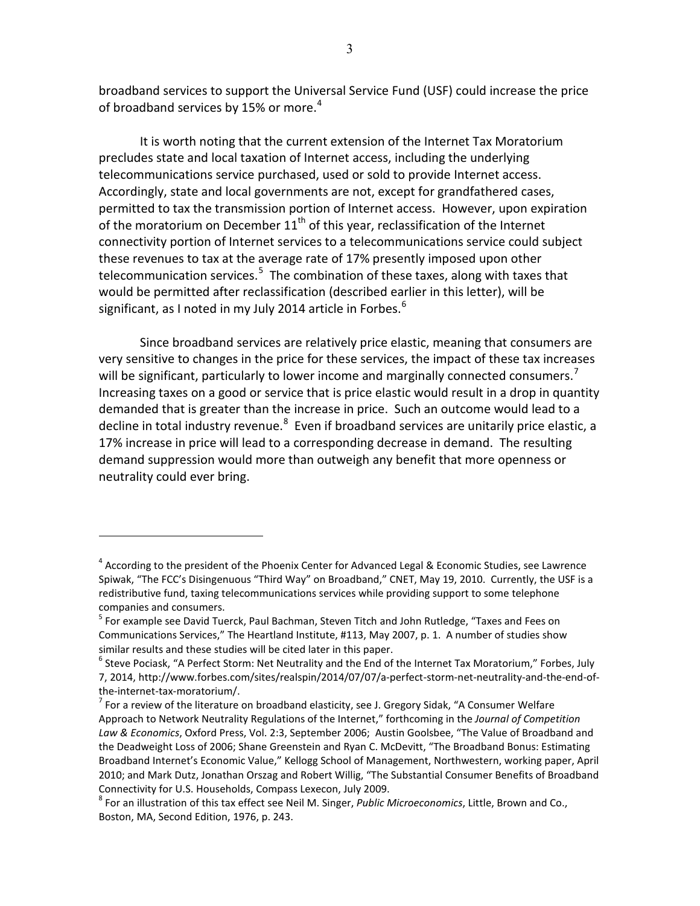broadband services to support the Universal Service Fund (USF) could increase the price of broadband services by 15% or more.<sup>[4](#page-2-0)</sup>

It is worth noting that the current extension of the Internet Tax Moratorium precludes state and local taxation of Internet access, including the underlying telecommunications service purchased, used or sold to provide Internet access. Accordingly, state and local governments are not, except for grandfathered cases, permitted to tax the transmission portion of Internet access. However, upon expiration of the moratorium on December  $11<sup>th</sup>$  of this year, reclassification of the Internet connectivity portion of Internet services to a telecommunications service could subject these revenues to tax at the average rate of 17% presently imposed upon other telecommunication services.<sup>[5](#page-2-1)</sup> The combination of these taxes, along with taxes that would be permitted after reclassification (described earlier in this letter), will be significant, as I noted in my July 2014 article in Forbes. $6$ 

Since broadband services are relatively price elastic, meaning that consumers are very sensitive to changes in the price for these services, the impact of these tax increases will be significant, particularly to lower income and marginally connected consumers.<sup>[7](#page-2-3)</sup> Increasing taxes on a good or service that is price elastic would result in a drop in quantity demanded that is greater than the increase in price. Such an outcome would lead to a decline in total industry revenue. $^8$  $^8$  Even if broadband services are unitarily price elastic, a 17% increase in price will lead to a corresponding decrease in demand. The resulting demand suppression would more than outweigh any benefit that more openness or neutrality could ever bring.

 $\overline{a}$ 

<span id="page-2-0"></span><sup>&</sup>lt;sup>4</sup> According to the president of the Phoenix Center for Advanced Legal & Economic Studies, see Lawrence Spiwak, "The FCC's Disingenuous "Third Way" on Broadband," CNET, May 19, 2010. Currently, the USF is a redistributive fund, taxing telecommunications services while providing support to some telephone companies and consumers.

<span id="page-2-1"></span><sup>5</sup> For example see David Tuerck, Paul Bachman, Steven Titch and John Rutledge, "Taxes and Fees on Communications Services," The Heartland Institute, #113, May 2007, p. 1. A number of studies show similar results and these studies will be cited later in this paper.

<span id="page-2-2"></span> $^6$  Steve Pociask, "A Perfect Storm: Net Neutrality and the End of the Internet Tax Moratorium," Forbes, July 7, 2014, http://www.forbes.com/sites/realspin/2014/07/07/a-perfect-storm-net-neutrality-and-the-end-of-

<span id="page-2-3"></span>the-internet-tax-moratorium/.<br><sup>7</sup> For a review of the literature on broadband elasticity, see J. Gregory Sidak, "A Consumer Welfare Approach to Network Neutrality Regulations of the Internet," forthcoming in the *Journal of Competition Law & Economics*, Oxford Press, Vol. 2:3, September 2006; Austin Goolsbee, "The Value of Broadband and the Deadweight Loss of 2006; Shane Greenstein and Ryan C. McDevitt, "The Broadband Bonus: Estimating Broadband Internet's Economic Value," Kellogg School of Management, Northwestern, working paper, April 2010; and Mark Dutz, Jonathan Orszag and Robert Willig, "The Substantial Consumer Benefits of Broadband Connectivity for U.S. Households, Compass Lexecon, July 2009.

<span id="page-2-4"></span><sup>8</sup> For an illustration of this tax effect see Neil M. Singer, *Public Microeconomics*, Little, Brown and Co., Boston, MA, Second Edition, 1976, p. 243.